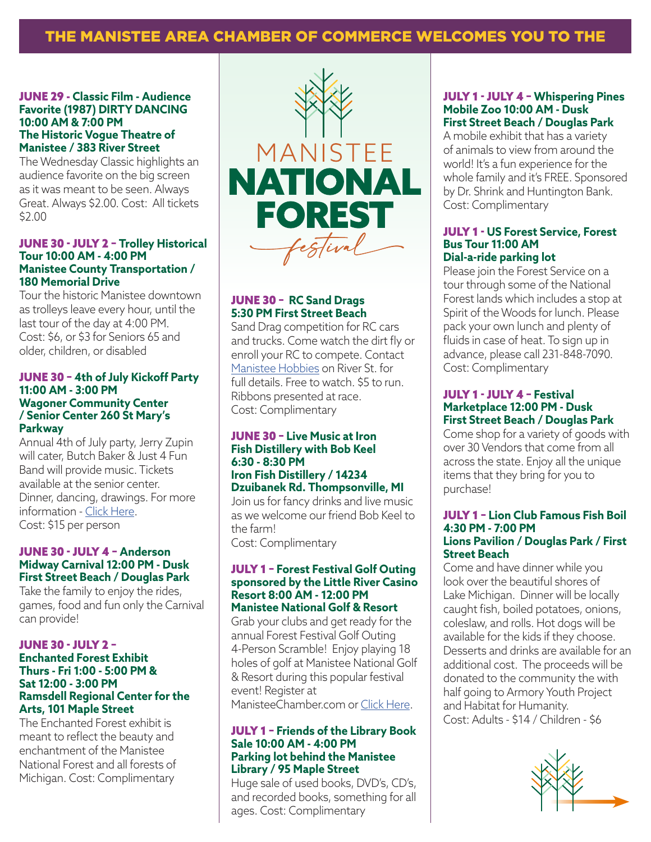# THE MANISTEE AREA CHAMBER OF COMMERCE WELCOMES YOU TO THE

### JUNE 29 - **Classic Film - Audience Favorite (1987) DIRTY DANCING 10:00 AM & 7:00 PM The Historic Vogue Theatre of Manistee / 383 River Street**

The Wednesday Classic highlights an audience favorite on the big screen as it was meant to be seen. Always Great. Always \$2.00. Cost: All tickets \$2.00

#### JUNE 30 - JULY 2 – **Trolley Historical Tour 10:00 AM - 4:00 PM Manistee County Transportation / 180 Memorial Drive**

Tour the historic Manistee downtown as trolleys leave every hour, until the last tour of the day at 4:00 PM. Cost: \$6, or \$3 for Seniors 65 and older, children, or disabled

### JUNE 30 – **4th of July Kickoff Party 11:00 AM - 3:00 PM Wagoner Community Center / Senior Center 260 St Mary's Parkway**

Annual 4th of July party, Jerry Zupin will cater, Butch Baker & Just 4 Fun Band will provide music. Tickets available at the senior center. Dinner, dancing, drawings. For more information - Click Here. Cost: \$15 per person

### JUNE 30 - JULY 4 – **Anderson Midway Carnival 12:00 PM - Dusk First Street Beach / Douglas Park**

Take the family to enjoy the rides, games, food and fun only the Carnival can provide!

### JUNE 30 - JULY 2 – **Enchanted Forest Exhibit Thurs - Fri 1:00 - 5:00 PM & Sat 12:00 - 3:00 PM Ramsdell Regional Center for the Arts, 101 Maple Street**

The Enchanted Forest exhibit is meant to reflect the beauty and enchantment of the Manistee National Forest and all forests of Michigan. Cost: Complimentary



### JUNE 30 – **RC Sand Drags 5:30 PM First Street Beach**

Sand Drag competition for RC cars and trucks. Come watch the dirt fly or enroll your RC to compete. Contact Manistee Hobbies on River St. for full details. Free to watch. \$5 to run. Ribbons presented at race. Cost: Complimentary

#### JUNE 30 – **Live Music at Iron Fish Distillery with Bob Keel 6:30 - 8:30 PM Iron Fish Distillery / 14234 Dzuibanek Rd. Thompsonville, MI**

Join us for fancy drinks and live music as we welcome our friend Bob Keel to the farm! Cost: Complimentary

#### JULY 1 – **Forest Festival Golf Outing sponsored by the Little River Casino Resort 8:00 AM - 12:00 PM Manistee National Golf & Resort**

Grab your clubs and get ready for the annual Forest Festival Golf Outing 4-Person Scramble! Enjoy playing 18 holes of golf at Manistee National Golf & Resort during this popular festival event! Register at

ManisteeChamber.com or Click Here.

### JULY 1 – **Friends of the Library Book Sale 10:00 AM - 4:00 PM Parking lot behind the Manistee Library / 95 Maple Street**

Huge sale of used books, DVD's, CD's, and recorded books, something for all ages. Cost: Complimentary

### JULY 1 - JULY 4 – **Whispering Pines Mobile Zoo 10:00 AM - Dusk First Street Beach / Douglas Park**

A mobile exhibit that has a variety of animals to view from around the world! It's a fun experience for the whole family and it's FREE. Sponsored by Dr. Shrink and Huntington Bank. Cost: Complimentary

### JULY 1 - **US Forest Service, Forest Bus Tour 11:00 AM Dial-a-ride parking lot**

Please join the Forest Service on a tour through some of the National Forest lands which includes a stop at Spirit of the Woods for lunch. Please pack your own lunch and plenty of fluids in case of heat. To sign up in advance, please call 231-848-7090. Cost: Complimentary

### JULY 1 - JULY 4 – **Festival Marketplace 12:00 PM - Dusk First Street Beach / Douglas Park**

Come shop for a variety of goods with over 30 Vendors that come from all across the state. Enjoy all the unique items that they bring for you to purchase!

### JULY 1 – **Lion Club Famous Fish Boil 4:30 PM - 7:00 PM Lions Pavilion / Douglas Park / First Street Beach**

Come and have dinner while you look over the beautiful shores of Lake Michigan. Dinner will be locally caught fish, boiled potatoes, onions, coleslaw, and rolls. Hot dogs will be available for the kids if they choose. Desserts and drinks are available for an additional cost. The proceeds will be donated to the community the with half going to Armory Youth Project and Habitat for Humanity. Cost: Adults - \$14 / Children - \$6

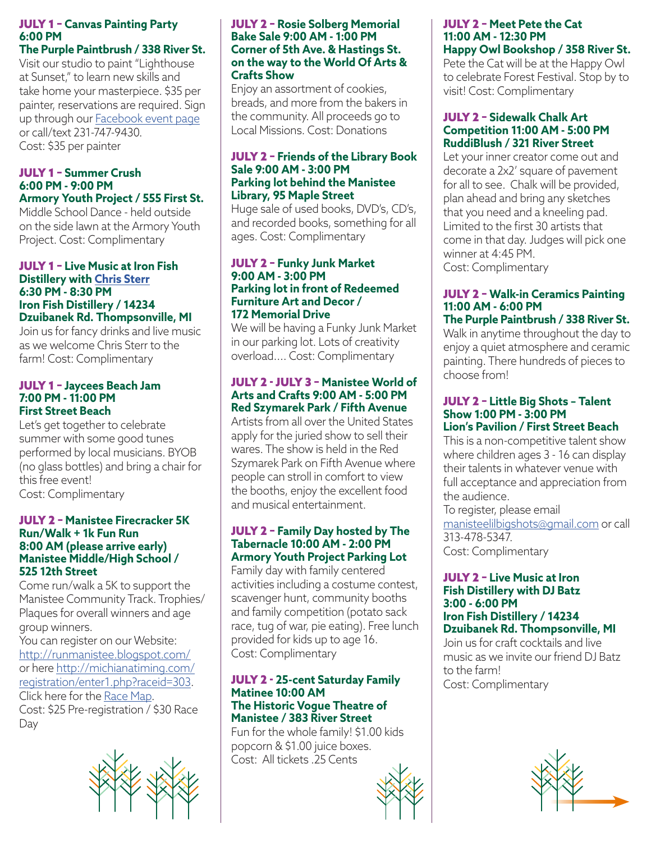## JULY 1 – **Canvas Painting Party 6:00 PM**

### **The Purple Paintbrush / 338 River St.**

Visit our studio to paint "Lighthouse at Sunset," to learn new skills and take home your masterpiece. \$35 per painter, reservations are required. Sign up through our Facebook event page or call/text 231-747-9430. Cost: \$35 per painter

### JULY 1 – **Summer Crush 6:00 PM - 9:00 PM Armory Youth Project / 555 First St.**

Middle School Dance - held outside on the side lawn at the Armory Youth Project. Cost: Complimentary

### JULY 1 – **Live Music at Iron Fish Distillery with Chris Sterr 6:30 PM - 8:30 PM Iron Fish Distillery / 14234 Dzuibanek Rd. Thompsonville, MI**

Join us for fancy drinks and live music as we welcome Chris Sterr to the farm! Cost: Complimentary

### JULY 1 – **Jaycees Beach Jam 7:00 PM - 11:00 PM First Street Beach**

Let's get together to celebrate summer with some good tunes performed by local musicians. BYOB (no glass bottles) and bring a chair for this free event! Cost: Complimentary

### JULY 2 – **Manistee Firecracker 5K Run/Walk + 1k Fun Run 8:00 AM (please arrive early) Manistee Middle/High School / 525 12th Street**

Come run/walk a 5K to support the Manistee Community Track. Trophies/ Plaques for overall winners and age group winners.

You can register on our Website: http://runmanistee.blogspot.com/ or here http://michianatiming.com/ registration/enter1.php?raceid=303. Click here for the Race Map. Cost: \$25 Pre-registration / \$30 Race Day



### JULY 2 – **Rosie Solberg Memorial Bake Sale 9:00 AM - 1:00 PM Corner of 5th Ave. & Hastings St. on the way to the World Of Arts & Crafts Show**

Enjoy an assortment of cookies, breads, and more from the bakers in the community. All proceeds go to Local Missions. Cost: Donations

### JULY 2 – **Friends of the Library Book Sale 9:00 AM - 3:00 PM Parking lot behind the Manistee Library, 95 Maple Street**

Huge sale of used books, DVD's, CD's, and recorded books, something for all ages. Cost: Complimentary

#### JULY 2 – **Funky Junk Market 9:00 AM - 3:00 PM Parking lot in front of Redeemed Furniture Art and Decor / 172 Memorial Drive**

We will be having a Funky Junk Market in our parking lot. Lots of creativity overload.... Cost: Complimentary

### JULY 2 - JULY 3 – **Manistee World of Arts and Crafts 9:00 AM - 5:00 PM Red Szymarek Park / Fifth Avenue**

Artists from all over the United States apply for the juried show to sell their wares. The show is held in the Red Szymarek Park on Fifth Avenue where people can stroll in comfort to view the booths, enjoy the excellent food and musical entertainment.

### JULY 2 – **Family Day hosted by The Tabernacle 10:00 AM - 2:00 PM Armory Youth Project Parking Lot**

Family day with family centered activities including a costume contest, scavenger hunt, community booths and family competition (potato sack race, tug of war, pie eating). Free lunch provided for kids up to age 16. Cost: Complimentary

#### JULY 2 - **25-cent Saturday Family Matinee 10:00 AM The Historic Vogue Theatre of Manistee / 383 River Street**

Fun for the whole family! \$1.00 kids popcorn & \$1.00 juice boxes. Cost: All tickets .25 Cents

### JULY 2 – **Meet Pete the Cat 11:00 AM - 12:30 PM Happy Owl Bookshop / 358 River St.**

Pete the Cat will be at the Happy Owl to celebrate Forest Festival. Stop by to visit! Cost: Complimentary

### JULY 2 – **Sidewalk Chalk Art Competition 11:00 AM - 5:00 PM RuddiBlush / 321 River Street**

Let your inner creator come out and decorate a 2x2' square of pavement for all to see. Chalk will be provided, plan ahead and bring any sketches that you need and a kneeling pad. Limited to the first 30 artists that come in that day. Judges will pick one winner at 4:45 PM. Cost: Complimentary

### JULY 2 – **Walk-in Ceramics Painting 11:00 AM - 6:00 PM The Purple Paintbrush / 338 River St.**

Walk in anytime throughout the day to enjoy a quiet atmosphere and ceramic painting. There hundreds of pieces to choose from!

#### JULY 2 – **Little Big Shots – Talent Show 1:00 PM - 3:00 PM Lion's Pavilion / First Street Beach**

This is a non-competitive talent show where children ages 3 - 16 can display their talents in whatever venue with full acceptance and appreciation from the audience.

To register, please email manisteelilbigshots@gmail.com or call 313-478-5347. Cost: Complimentary

## JULY 2 – **Live Music at Iron Fish Distillery with DJ Batz 3:00 - 6:00 PM Iron Fish Distillery / 14234**

**Dzuibanek Rd. Thompsonville, MI** Join us for craft cocktails and live music as we invite our friend DJ Batz to the farm! Cost: Complimentary